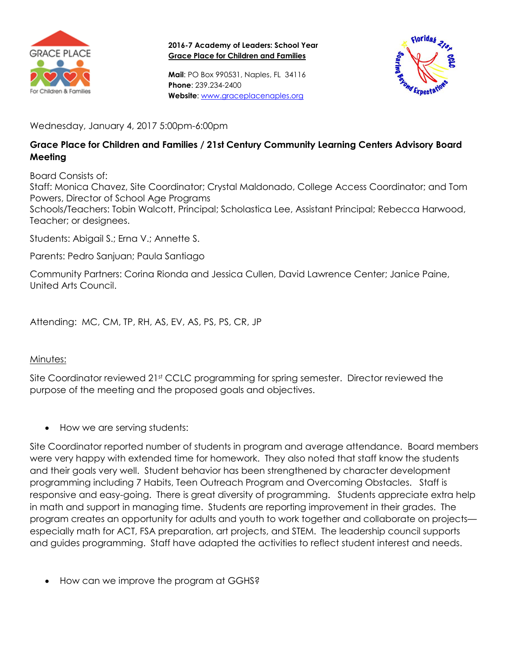

**2016-7 Academy of Leaders: School Year Grace Place for Children and Families**

**Mail**: PO Box 990531, Naples, FL 34116 **Phone**: 239.234-2400 **Website**: [www.graceplacenaples.org](http://www.graceplacenaples.org/)



Wednesday, January 4, 2017 5:00pm-6:00pm

## **Grace Place for Children and Families / 21st Century Community Learning Centers Advisory Board Meeting**

Board Consists of:

Staff: Monica Chavez, Site Coordinator; Crystal Maldonado, College Access Coordinator; and Tom Powers, Director of School Age Programs

Schools/Teachers: Tobin Walcott, Principal; Scholastica Lee, Assistant Principal; Rebecca Harwood, Teacher; or designees.

Students: Abigail S.; Erna V.; Annette S.

Parents: Pedro Sanjuan; Paula Santiago

Community Partners: Corina Rionda and Jessica Cullen, David Lawrence Center; Janice Paine, United Arts Council.

Attending: MC, CM, TP, RH, AS, EV, AS, PS, PS, CR, JP

## Minutes:

Site Coordinator reviewed 21<sup>st</sup> CCLC programming for spring semester. Director reviewed the purpose of the meeting and the proposed goals and objectives.

How we are serving students:

Site Coordinator reported number of students in program and average attendance. Board members were very happy with extended time for homework. They also noted that staff know the students and their goals very well. Student behavior has been strengthened by character development programming including 7 Habits, Teen Outreach Program and Overcoming Obstacles. Staff is responsive and easy-going. There is great diversity of programming. Students appreciate extra help in math and support in managing time. Students are reporting improvement in their grades. The program creates an opportunity for adults and youth to work together and collaborate on projects especially math for ACT, FSA preparation, art projects, and STEM. The leadership council supports and guides programming. Staff have adapted the activities to reflect student interest and needs.

How can we improve the program at GGHS?